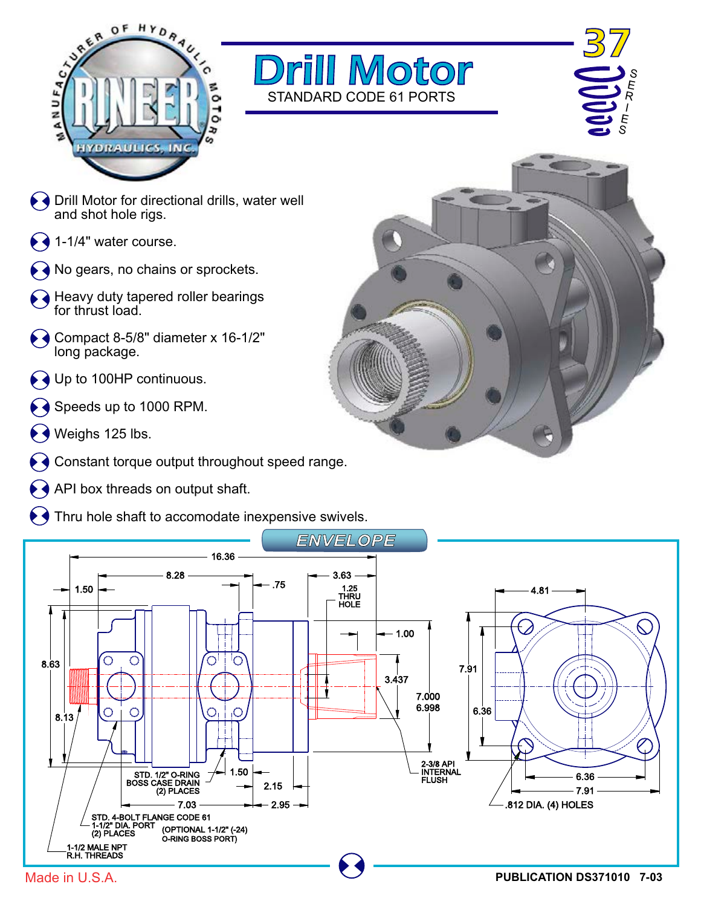





- $\blacklozenge$   $\blacklozenge$  Drill Motor for directional drills, water well and shot hole rigs.
- $\blacklozenge$  1-1/4" water course.
- No gears, no chains or sprockets.
- Heavy duty tapered roller bearings for thrust load.
- $\leftrightarrow$  Compact 8-5/8" diameter x 16-1/2" long package.
- Up to 100HP continuous.
- Speeds up to 1000 RPM.
- Weighs 125 lbs.
- Constant torque output throughout speed range.
- API box threads on output shaft.
- Thru hole shaft to accomodate inexpensive swivels.